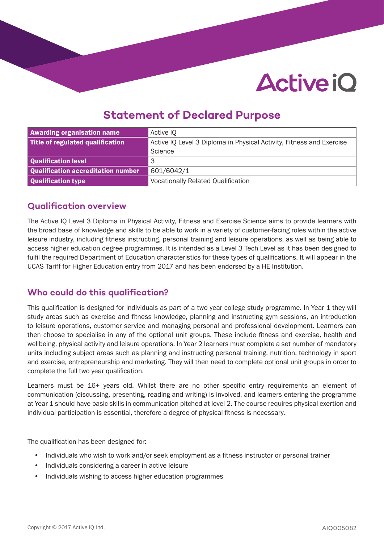# **Active iO**

## **Statement of Declared Purpose**

| <b>Awarding organisation name</b>  | Active IQ                                                            |  |
|------------------------------------|----------------------------------------------------------------------|--|
| Title of regulated qualification   | Active IQ Level 3 Diploma in Physical Activity, Fitness and Exercise |  |
|                                    | Science                                                              |  |
| Qualification level                | 3                                                                    |  |
| Qualification accreditation number | 601/6042/1                                                           |  |
| Qualification type                 | <b>Vocationally Related Qualification</b>                            |  |

## **Qualification overview**

The Active IQ Level 3 Diploma in Physical Activity, Fitness and Exercise Science aims to provide learners with the broad base of knowledge and skills to be able to work in a variety of customer-facing roles within the active leisure industry, including fitness instructing, personal training and leisure operations, as well as being able to access higher education degree programmes. It is intended as a Level 3 Tech Level as it has been designed to fulfil the required Department of Education characteristics for these types of qualifications. It will appear in the UCAS Tariff for Higher Education entry from 2017 and has been endorsed by a HE Institution.

## **Who could do this qualification?**

This qualification is designed for individuals as part of a two year college study programme. In Year 1 they will study areas such as exercise and fitness knowledge, planning and instructing gym sessions, an introduction to leisure operations, customer service and managing personal and professional development. Learners can then choose to specialise in any of the optional unit groups. These include fitness and exercise, health and wellbeing, physical activity and leisure operations. In Year 2 learners must complete a set number of mandatory units including subject areas such as planning and instructing personal training, nutrition, technology in sport and exercise, entrepreneurship and marketing. They will then need to complete optional unit groups in order to complete the full two year qualification.

Learners must be 16+ years old. Whilst there are no other specific entry requirements an element of communication (discussing, presenting, reading and writing) is involved, and learners entering the programme at Year 1 should have basic skills in communication pitched at level 2. The course requires physical exertion and individual participation is essential, therefore a degree of physical fitness is necessary.

The qualification has been designed for:

- Individuals who wish to work and/or seek employment as a fitness instructor or personal trainer
- Individuals considering a career in active leisure
- Individuals wishing to access higher education programmes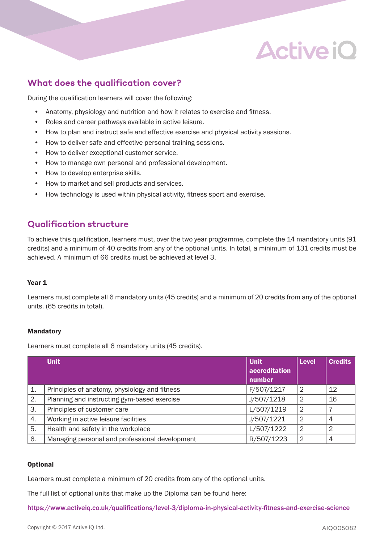

## **What does the qualification cover?**

During the qualification learners will cover the following:

- Anatomy, physiology and nutrition and how it relates to exercise and fitness.
- Roles and career pathways available in active leisure.
- How to plan and instruct safe and effective exercise and physical activity sessions.
- How to deliver safe and effective personal training sessions.
- How to deliver exceptional customer service.
- How to manage own personal and professional development.
- How to develop enterprise skills.
- How to market and sell products and services.
- How technology is used within physical activity, fitness sport and exercise.

## **Qualification structure**

To achieve this qualification, learners must, over the two year programme, complete the 14 mandatory units (91 credits) and a minimum of 40 credits from any of the optional units. In total, a minimum of 131 credits must be achieved. A minimum of 66 credits must be achieved at level 3.

#### Year 1

Learners must complete all 6 mandatory units (45 credits) and a minimum of 20 credits from any of the optional units. (65 credits in total).

#### Mandatory

Learners must complete all 6 mandatory units (45 credits).

|    | <b>Unit</b>                                    | Unit                    | <b>Level</b>   | <b>Credits</b> |
|----|------------------------------------------------|-------------------------|----------------|----------------|
|    |                                                | accreditation<br>number |                |                |
|    |                                                |                         |                |                |
| 1. | Principles of anatomy, physiology and fitness  | F/507/1217              | $\overline{2}$ | 12             |
| 2. | Planning and instructing gym-based exercise    | J/507/1218              | $\overline{2}$ | 16             |
| 3. | Principles of customer care                    | L/507/1219              | $\overline{2}$ |                |
| 4. | Working in active leisure facilities           | J/507/1221              | $\overline{2}$ | 4              |
| 5. | Health and safety in the workplace             | L/507/1222              | $\overline{2}$ | 2              |
| 6. | Managing personal and professional development | R/507/1223              | $\overline{2}$ | 4              |

#### **Optional**

Learners must complete a minimum of 20 credits from any of the optional units.

The full list of optional units that make up the Diploma can be found here:

https://www.activeiq.co.uk/qualifications/level-3/diploma-in-physical-activity-fitness-and-exercise-science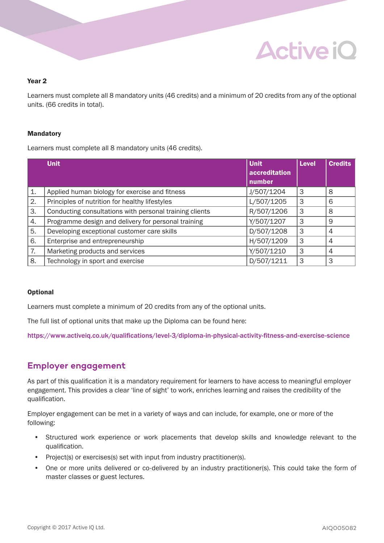## **Active iO**

#### Year 2

Learners must complete all 8 mandatory units (46 credits) and a minimum of 20 credits from any of the optional units. (66 credits in total).

#### Mandatory

Learners must complete all 8 mandatory units (46 credits).

|    | <b>Unit</b>                                             | <b>Unit</b><br>accreditation<br>number | <b>Level</b> | <b>Credits</b> |
|----|---------------------------------------------------------|----------------------------------------|--------------|----------------|
| 1. | Applied human biology for exercise and fitness          | J/507/1204                             | 3            | 8              |
| 2. | Principles of nutrition for healthy lifestyles          | L/507/1205                             | 3            | 6              |
| 3. | Conducting consultations with personal training clients | R/507/1206                             | 3            | 8              |
| 4. | Programme design and delivery for personal training     | Y/507/1207                             | 3            | 9              |
| 5. | Developing exceptional customer care skills             | D/507/1208                             | 3            | $\overline{4}$ |
| 6. | Enterprise and entrepreneurship                         | H/507/1209                             | 3            | 4              |
| 7. | Marketing products and services                         | Y/507/1210                             | 3            | 4              |
| 8. | Technology in sport and exercise                        | D/507/1211                             | 3            | 3              |

#### **Optional**

Learners must complete a minimum of 20 credits from any of the optional units.

The full list of optional units that make up the Diploma can be found here:

https://www.activeiq.co.uk/qualifications/level-3/diploma-in-physical-activity-fitness-and-exercise-science

### **Employer engagement**

As part of this qualification it is a mandatory requirement for learners to have access to meaningful employer engagement. This provides a clear 'line of sight' to work, enriches learning and raises the credibility of the qualification.

Employer engagement can be met in a variety of ways and can include, for example, one or more of the following:

- Structured work experience or work placements that develop skills and knowledge relevant to the qualification.
- Project(s) or exercises(s) set with input from industry practitioner(s).
- One or more units delivered or co-delivered by an industry practitioner(s). This could take the form of master classes or guest lectures.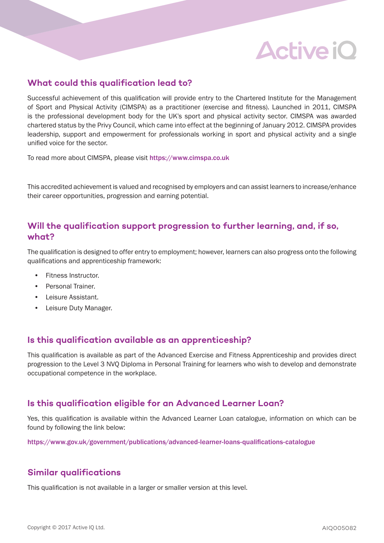## **Active iO**

## **What could this qualification lead to?**

Successful achievement of this qualification will provide entry to the Chartered Institute for the Management of Sport and Physical Activity (CIMSPA) as a practitioner (exercise and fitness). Launched in 2011, CIMSPA is the professional development body for the UK's sport and physical activity sector. CIMSPA was awarded chartered status by the Privy Council, which came into effect at the beginning of January 2012. CIMSPA provides leadership, support and empowerment for professionals working in sport and physical activity and a single unified voice for the sector.

To read more about CIMSPA, please visit https://www.cimspa.co.uk

This accredited achievement is valued and recognised by employers and can assist learners to increase/enhance their career opportunities, progression and earning potential.

## **Will the qualification support progression to further learning, and, if so, what?**

The qualification is designed to offer entry to employment; however, learners can also progress onto the following qualifications and apprenticeship framework:

- Fitness Instructor.
- Personal Trainer.
- Leisure Assistant.
- Leisure Duty Manager.

## **Is this qualification available as an apprenticeship?**

This qualification is available as part of the Advanced Exercise and Fitness Apprenticeship and provides direct progression to the Level 3 NVQ Diploma in Personal Training for learners who wish to develop and demonstrate occupational competence in the workplace.

## **Is this qualification eligible for an Advanced Learner Loan?**

Yes, this qualification is available within the Advanced Learner Loan catalogue, information on which can be found by following the link below:

https://www.gov.uk/government/publications/advanced-learner-loans-qualifications-catalogue

## **Similar qualifications**

This qualification is not available in a larger or smaller version at this level.